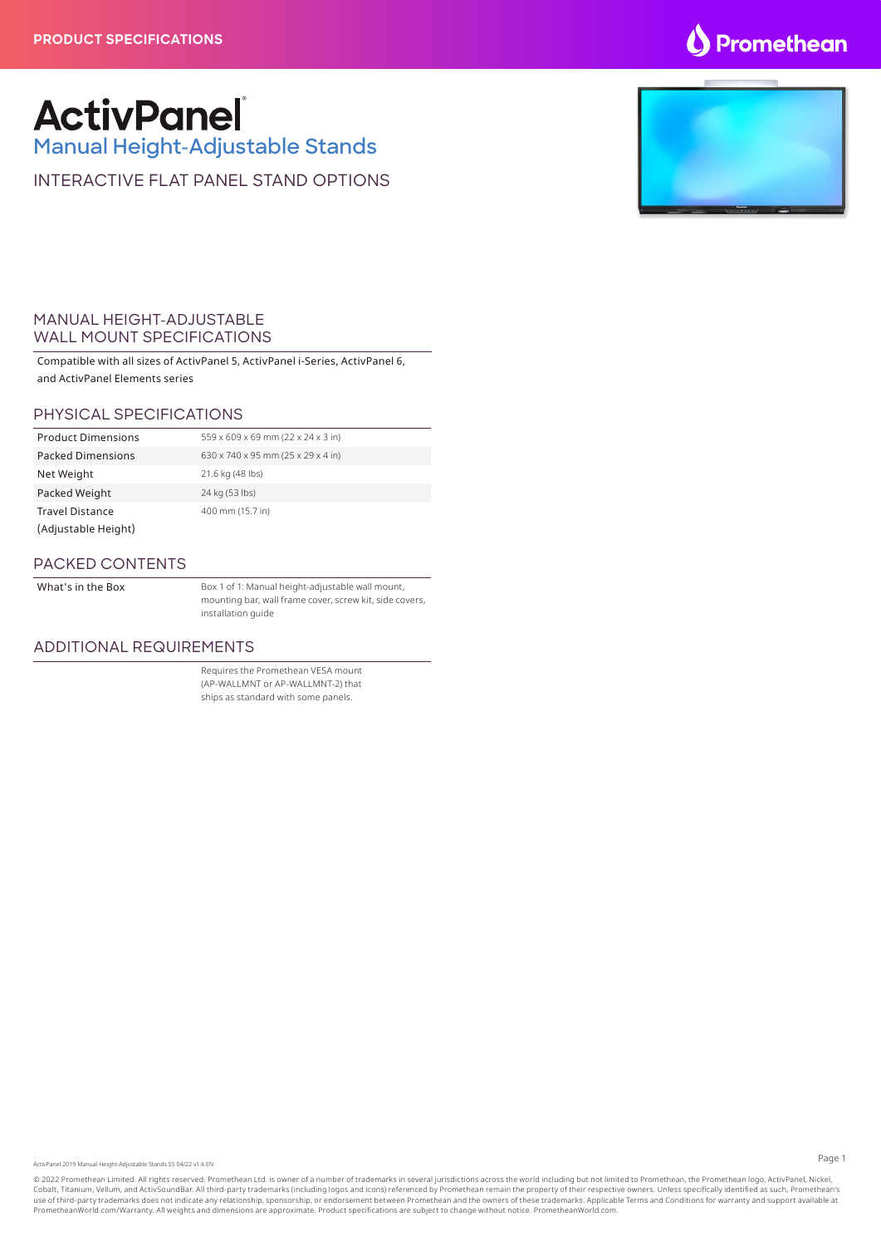### **S** Promethean

## **ActivPanel**

**Manual Height-Adjustable Stands**

INTERACTIVE FLAT PANEL STAND OPTIONS

### MANUAL HEIGHT-ADJUSTABLE WALL MOUNT SPECIFICATIONS

Compatible with all sizes of ActivPanel 5, ActivPanel i-Series, ActivPanel 6, and ActivPanel Elements series

### PHYSICAL SPECIFICATIONS

| <b>Product Dimensions</b> | 559 x 609 x 69 mm (22 x 24 x 3 in) |
|---------------------------|------------------------------------|
| <b>Packed Dimensions</b>  | 630 x 740 x 95 mm (25 x 29 x 4 in) |
| Net Weight                | 21.6 kg (48 lbs)                   |
| Packed Weight             | 24 kg (53 lbs)                     |
| <b>Travel Distance</b>    | 400 mm (15.7 in)                   |
| (Adjustable Height)       |                                    |

#### PACKED CONTENTS

What's in the Box **Box 1 of 1: Manual height-adjustable wall mount**, mounting bar, wall frame cover, screw kit, side covers, installation guide

#### ADDITIONAL REQUIREMENTS

Requires the Promethean VESA mount (AP-WALLMNT or AP-WALLMNT-2) that ships as standard with some panels.

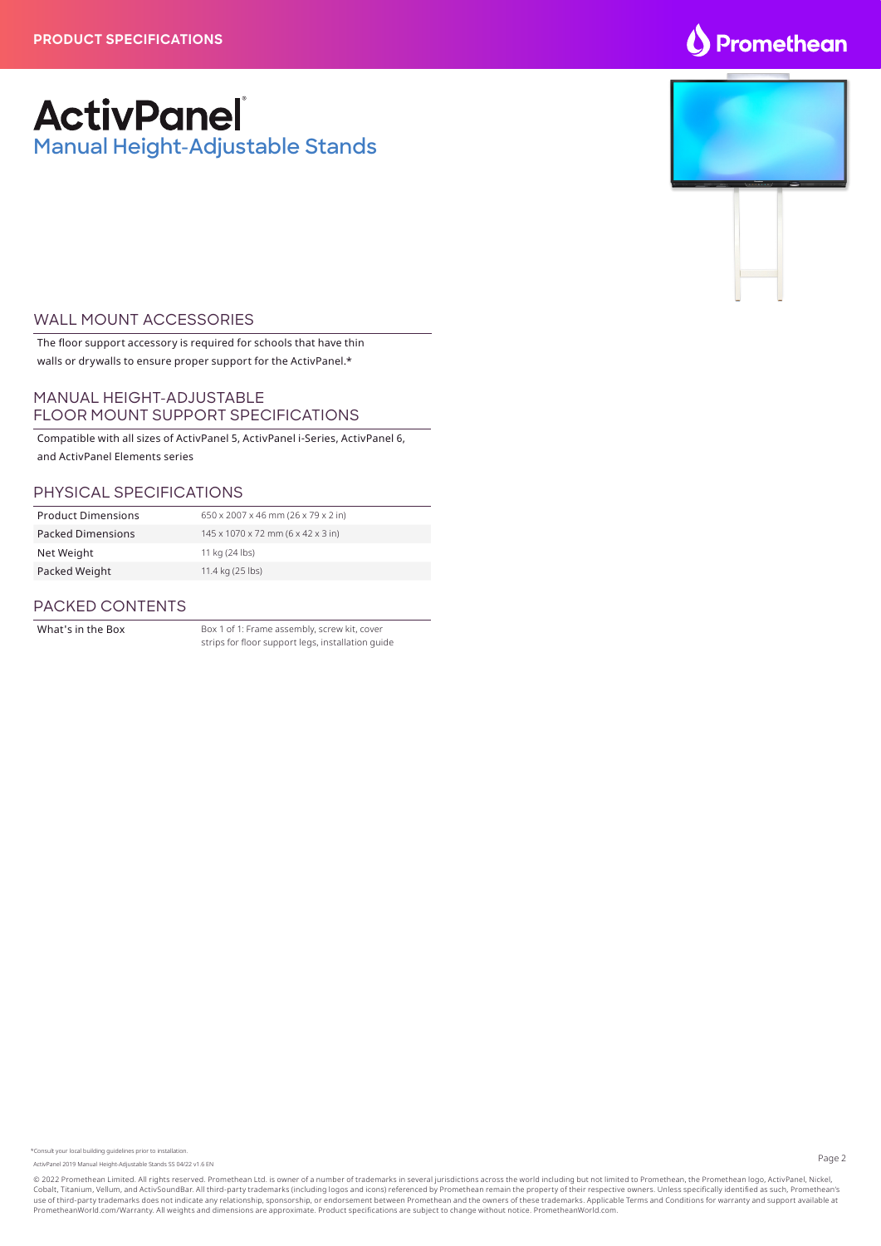### O Promethean

### **ActivPanel Manual Height-Adjustable Stands**

### WALL MOUNT ACCESSORIES

The floor support accessory is required for schools that have thin walls or drywalls to ensure proper support for the ActivPanel.\*

### MANUAL HEIGHT-ADJUSTABLE FLOOR MOUNT SUPPORT SPECIFICATIONS

Compatible with all sizes of ActivPanel 5, ActivPanel i-Series, ActivPanel 6, and ActivPanel Elements series

### PHYSICAL SPECIFICATIONS

| <b>Product Dimensions</b> | 650 x 2007 x 46 mm (26 x 79 x 2 in) |
|---------------------------|-------------------------------------|
| <b>Packed Dimensions</b>  | 145 x 1070 x 72 mm (6 x 42 x 3 in)  |
| Net Weight                | 11 kg (24 lbs)                      |
| Packed Weight             | 11.4 kg (25 lbs)                    |
|                           |                                     |

### PACKED CONTENTS

What's in the Box Box 1 of 1: Frame assembly, screw kit, cover strips for floor support legs, installation guide

ActivPanel 2019 Manual Height-Adjustable Stands SS 04/22 v1.6 EN

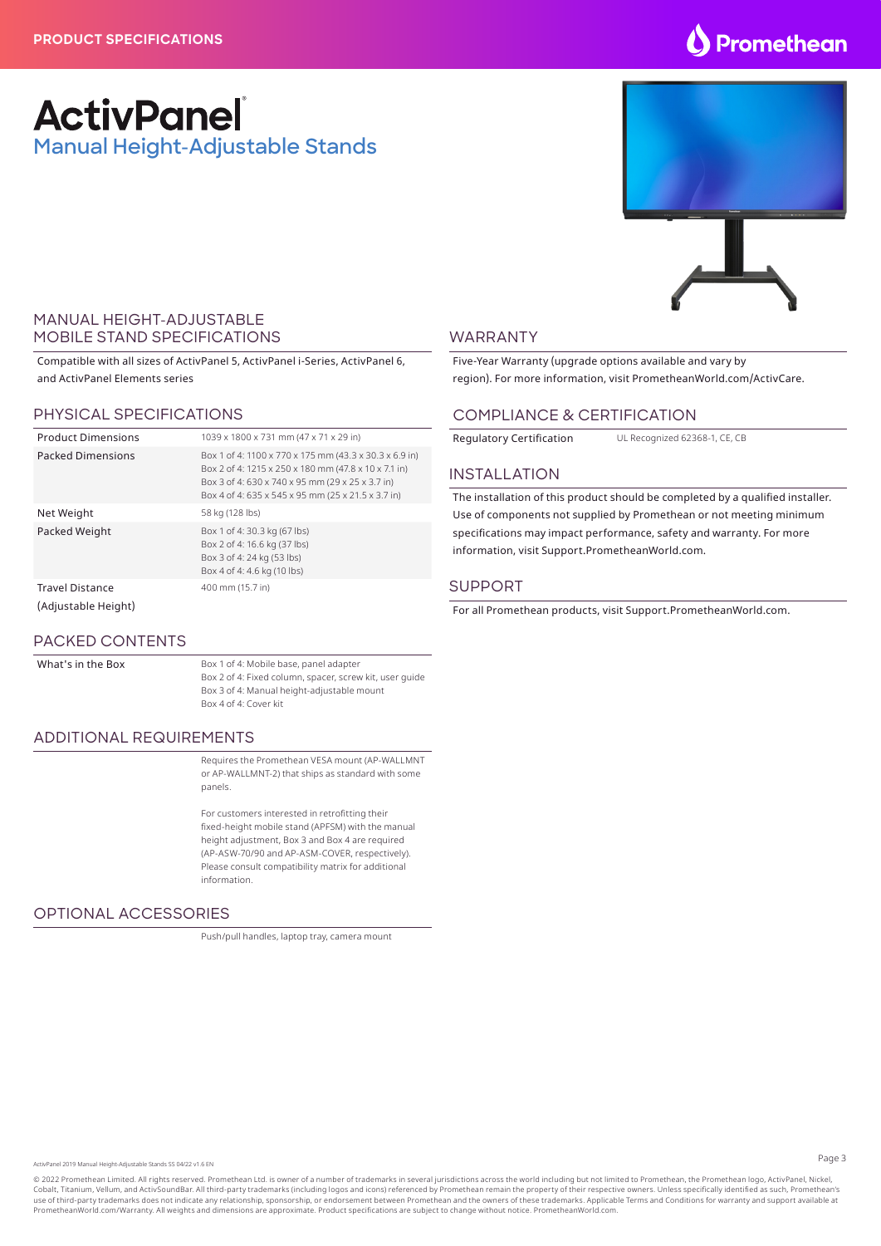### **Promethean**

### **ActivPanel Manual Height-Adjustable Stands**



### MANUAL HEIGHT-ADJUSTABLE MOBILE STAND SPECIFICATIONS

Compatible with all sizes of ActivPanel 5, ActivPanel i-Series, ActivPanel 6, and ActivPanel Elements series

### PHYSICAL SPECIFICATIONS

| <b>Product Dimensions</b>                     | 1039 x 1800 x 731 mm (47 x 71 x 29 in)                                                                                                                                                                                   |
|-----------------------------------------------|--------------------------------------------------------------------------------------------------------------------------------------------------------------------------------------------------------------------------|
| <b>Packed Dimensions</b>                      | Box 1 of 4: 1100 x 770 x 175 mm (43.3 x 30.3 x 6.9 in)<br>Box 2 of 4: 1215 x 250 x 180 mm (47.8 x 10 x 7.1 in)<br>Box 3 of 4: 630 x 740 x 95 mm (29 x 25 x 3.7 in)<br>Box 4 of 4: 635 x 545 x 95 mm (25 x 21.5 x 3.7 in) |
| Net Weight                                    | 58 kg (128 lbs)                                                                                                                                                                                                          |
| Packed Weight                                 | Box 1 of 4: 30.3 kg (67 lbs)<br>Box 2 of 4: 16.6 kg (37 lbs)<br>Box 3 of 4: 24 kg (53 lbs)<br>Box 4 of 4: 4.6 kg (10 lbs)                                                                                                |
| <b>Travel Distance</b><br>(Adjustable Height) | 400 mm (15.7 in)                                                                                                                                                                                                         |

### PACKED CONTENTS

What's in the Box Box 1 of 4: Mobile base, panel adapter Box 2 of 4: Fixed column, spacer, screw kit, user guide Box 3 of 4: Manual height-adjustable mount Box 4 of 4: Cover kit

### ADDITIONAL REQUIREMENTS

Requires the Promethean VESA mount (AP-WALLMNT or AP-WALLMNT-2) that ships as standard with some panels.

For customers interested in retrofitting their fixed-height mobile stand (APFSM) with the manual height adjustment, Box 3 and Box 4 are required (AP-ASW-70/90 and AP-ASM-COVER, respectively). Please consult compatibility matrix for additional information.

### OPTIONAL ACCESSORIES

Push/pull handles, laptop tray, camera mount

### WARRANTY

Five-Year Warranty (upgrade options available and vary by region). For more information, visit PrometheanWorld.com/ActivCare.

#### COMPLIANCE & CERTIFICATION

Regulatory Certification UL Recognized 62368-1, CE, CE

#### INSTALLATION

The installation of this product should be completed by a qualified installer. Use of components not supplied by Promethean or not meeting minimum specifications may impact performance, safety and warranty. For more information, visit Support.PrometheanWorld.com.

#### SUPPORT

For all Promethean products, visit Support.PrometheanWorld.com.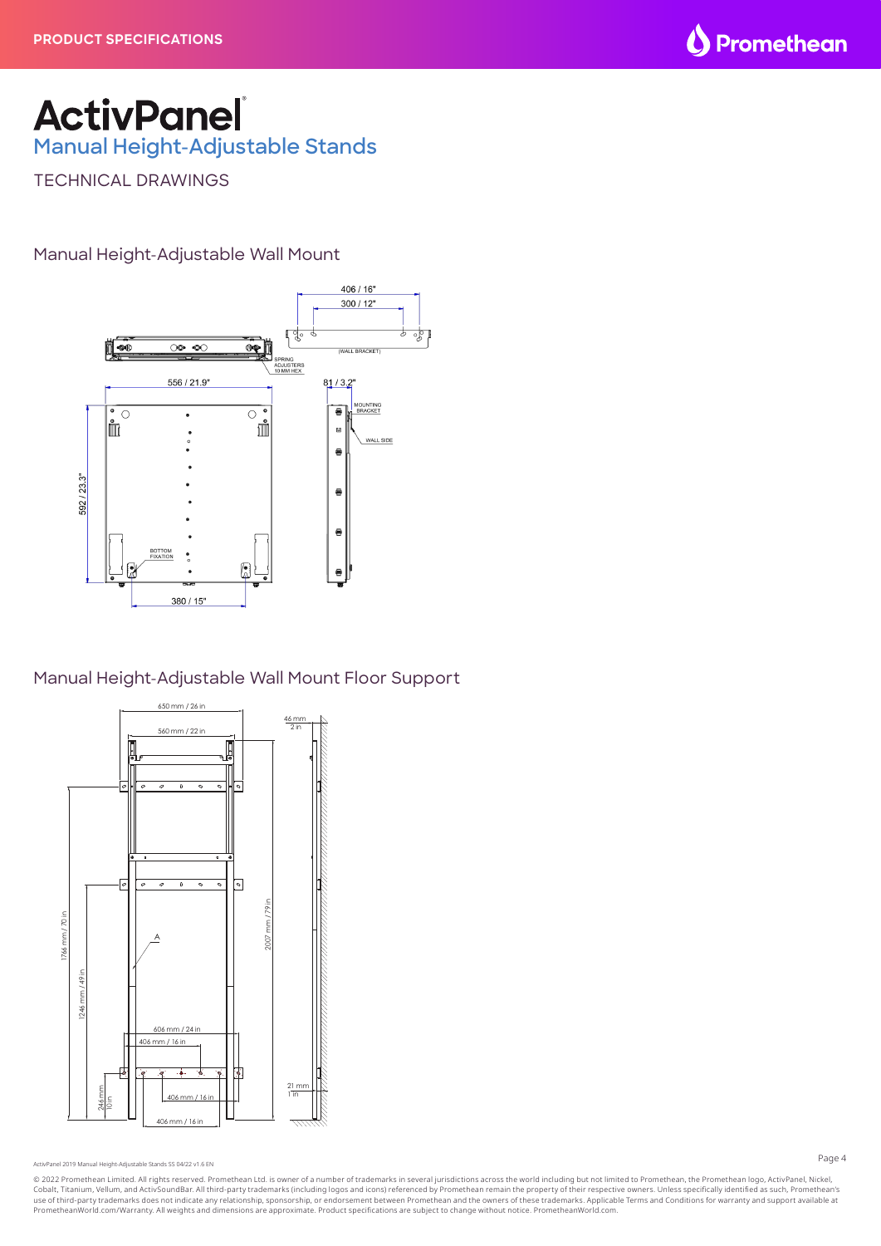

# **ActivPanel**

**Manual Height-Adjustable Stands**

TECHNICAL DRAWINGS

Manual Height-Adjustable Wall Mount



Manual Height-Adjustable Wall Mount Floor Support



ActivPanel 2019 Manual Height-Adjustable Stands SS 04/22 v1.6 EN